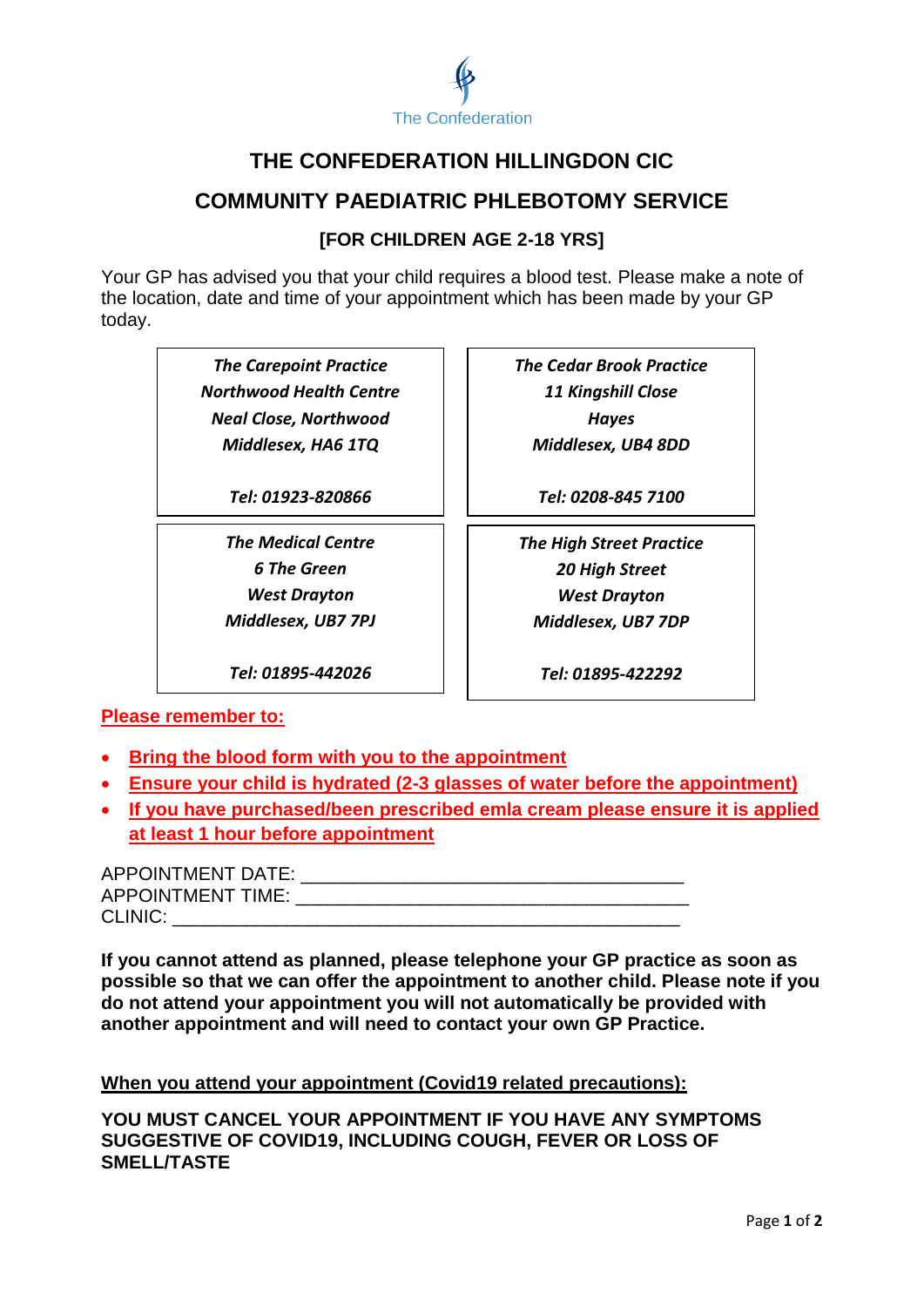

# **THE CONFEDERATION HILLINGDON CIC**

## **COMMUNITY PAEDIATRIC PHLEBOTOMY SERVICE**

### **[FOR CHILDREN AGE 2-18 YRS]**

Your GP has advised you that your child requires a blood test. Please make a note of the location, date and time of your appointment which has been made by your GP today.

> *The Carepoint Practice Northwood Health Centre Neal Close, Northwood Middlesex, HA6 1TQ*

> > *Tel: 01923-820866*

*The Medical Centre 6 The Green West Drayton Middlesex, UB7 7PJ*

*Tel: 01895-442026*

*The Cedar Brook Practice 11 Kingshill Close Hayes Middlesex, UB4 8DD*

*Tel: 0208-845 7100*

*The High Street Practice 20 High Street West Drayton Middlesex, UB7 7DP*

*Tel: 01895-422292*

**Please remember to:**

- **Bring the blood form with you to the appointment**
- **Ensure your child is hydrated (2-3 glasses of water before the appointment)**
- **If you have purchased/been prescribed emla cream please ensure it is applied at least 1 hour before appointment**

APPOINTMENT DATE: \_\_\_\_\_\_\_\_\_\_\_\_\_\_\_\_\_\_\_\_\_\_\_\_\_\_\_\_\_\_\_\_\_\_\_\_\_ APPOINTMENT TIME:  $\blacksquare$ CLINIC: **with the control** 

**If you cannot attend as planned, please telephone your GP practice as soon as possible so that we can offer the appointment to another child. Please note if you do not attend your appointment you will not automatically be provided with another appointment and will need to contact your own GP Practice.**

**When you attend your appointment (Covid19 related precautions):**

**YOU MUST CANCEL YOUR APPOINTMENT IF YOU HAVE ANY SYMPTOMS SUGGESTIVE OF COVID19, INCLUDING COUGH, FEVER OR LOSS OF SMELL/TASTE**